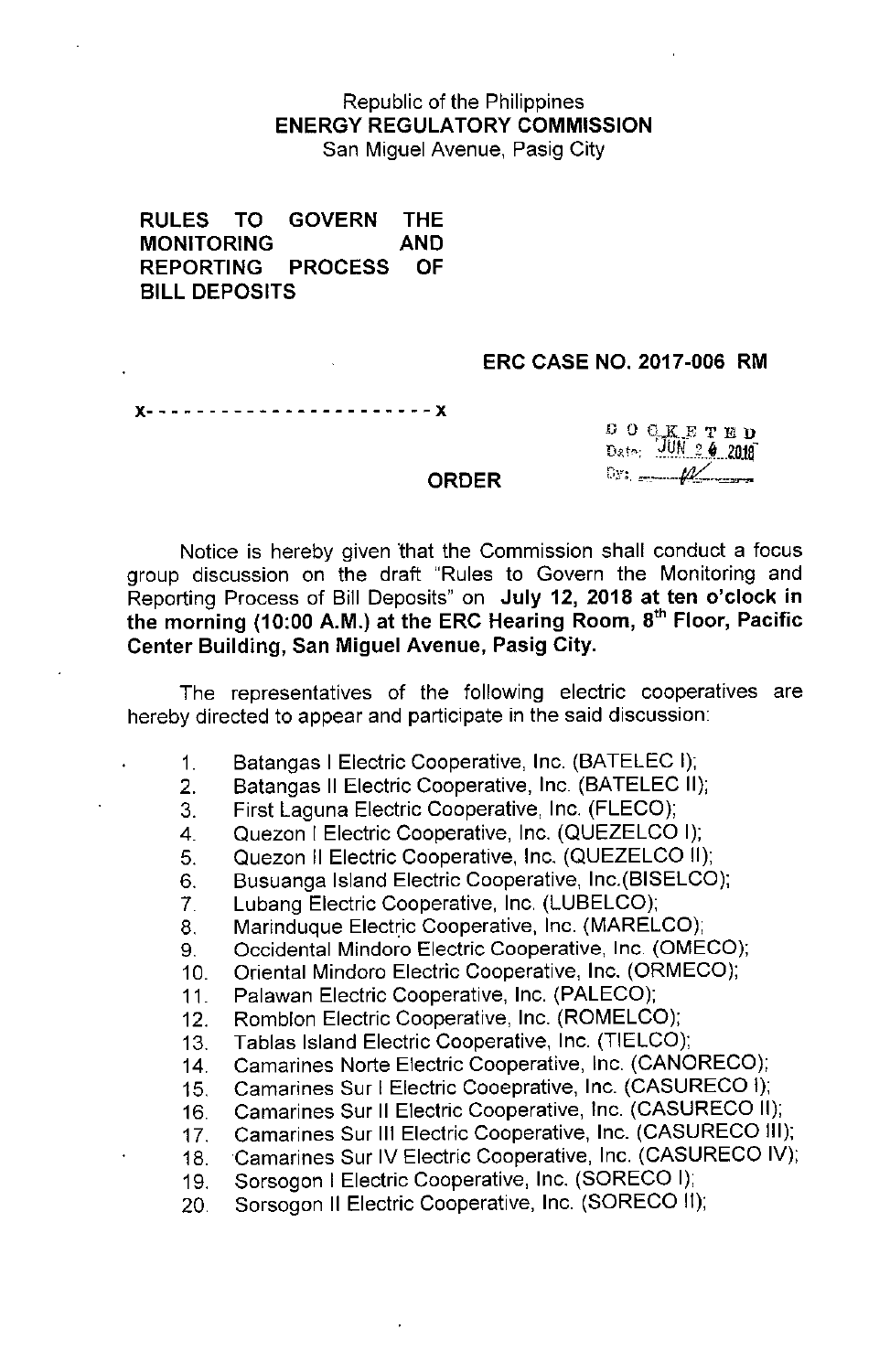## Republic of the Philippines ENERGY REGULATORY COMMISSION San Miguel Avenue, Pasig City

RULES TO GOVERN THE MONITORING AND REPORTING PROCESS OF BILL DEPOSITS

### ERC CASE NO. 2017-006 RM

x- - - - - - - - - - - - - - - - - - - - - - - x

DOGKETED  $v: \_\_\_\_\$ 

#### ORDER

Notice is hereby given 'that the Commission shall conduct a focus group discussion on the draft "Rules to Govern the Monitoring and Reporting Process of Bill Deposits" on July 12, 2018 at ten o'clock in the morning (10:00 A.M.) at the ERC Hearing Room, 8<sup>th</sup> Floor, Pacific Center Building, San Miguel Avenue, Pasig City.

The representatives of the following electric cooperatives are hereby directed to appear and participate in the said discussion:

- 1. Batangas I Electric Cooperative, Inc. (BATELEC I);
- 2. Batangas II Electric Cooperative, Inc (BATELEC II);
- 3. First Laguna Electric Cooperative, Inc. (FLECO);
- 4. Quezon I Electric Cooperative, Inc. (QUEZELCO I);
- 5. Quezon II Electric Cooperative, Inc. (QUEZELCO II);
- 6. Busuanga Island Electric Cooperative, Inc.(BISELCO);
- 7. Lubang Electric Cooperative, Inc. (LUBELCO);
- 8. Marinduque Electric Cooperative, Inc. (MARELCO);
- 9. Occidental Mindoro Electric Cooperative, Inc. (OMECO);

10. Oriental Mindoro Electric Cooperative, Inc. (ORMECO);

- 11. Palawan Electric Cooperative, Inc. (PALECO);
- 12. Romblon Electric Cooperative, Inc. (ROMELCO);
- 13. Tablas Island Electric Cooperative, Inc. (TIELCO);
- 14. Camarines Norte Electric Cooperative, Inc. (CANORECO);
- 15. Camarines Sur I Electric Cooeprative, Inc. (CASURECO I);
- 16. Camarines Sur II Electric Cooperative, Inc. (CASURECO II);
- 17. Camarines Sur III Electric Cooperative, Inc. (CASURECO III);
- 18.Camarines Sur IV Electric Cooperative, Inc. (CASURECO IV);
- 19. Sorsogon I Electric Cooperative, Inc. (SORECO I);
- 20 Sorsogon II Electric Cooperative, Inc. (SORECO II);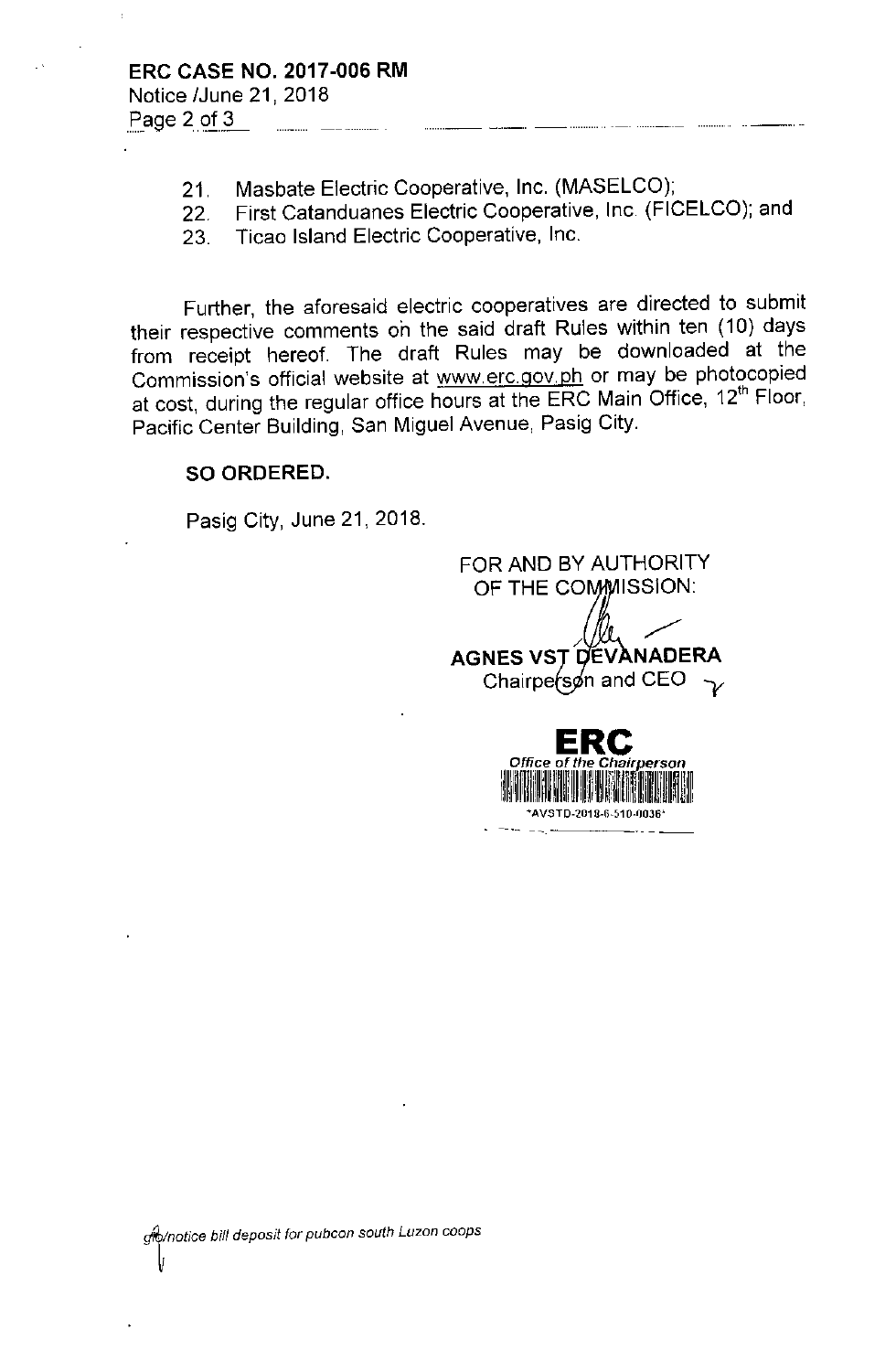- 21. Masbate Electric Cooperative, Inc. (MASELCO);
- 22. First Catanduanes Electric Cooperative, Inc (FICELCO); and
- 23. Ticao Island Electric Cooperative, Inc.

Further, the aforesaid electric cooperatives are directed to submit their respective comments on the said draft Rules within ten (10) days from receipt hereof. The draft Rules may be downloaded at the Commission's official website at [www.erc.gov.ph](http://www.erc.gov.ph) or may be photocopied at cost, during the regular office hours at the ERC Main Office, 12<sup>th</sup> Floor, Pacific Center Building, San Miguel Avenue, Pasig City.

## SO ORDERED.

Pasig City, June 21, 2018.

FOR AND BY AUTHORITY OF THE COMMISSION: AGNES VST DEVANADERA Chairpe (son and CEO  $\rightarrow$ **ERe** *Office* of *the Chai~erson*

Illinin illine ini kalifikii in t \*AVSTD-2018-6-510-0036<sup>\*</sup>

ilili<sup>l</sup>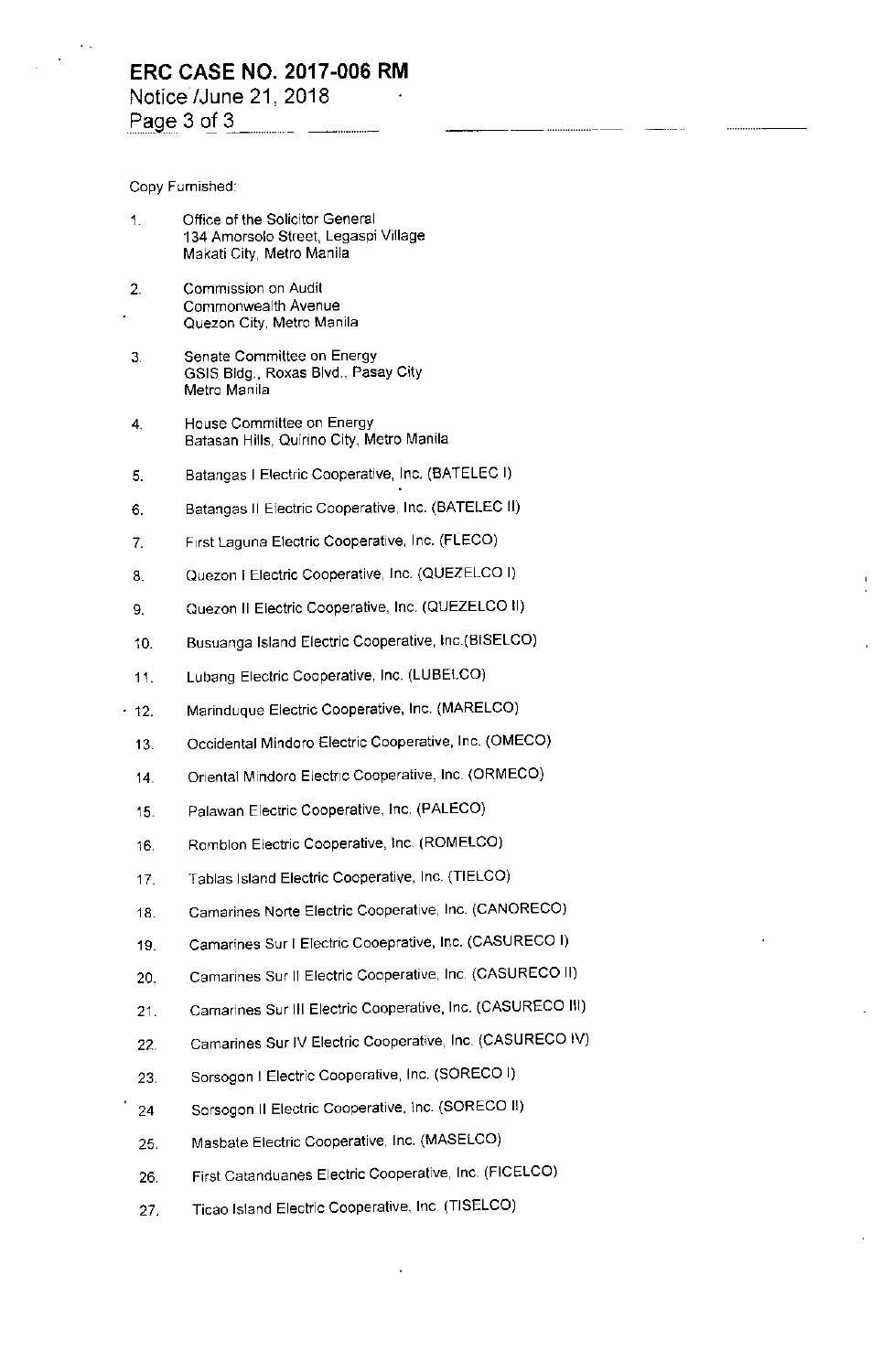Copy Furnished:

- Office of the Solicitor General 1. 134 Amorsolo Street, Legaspi Village Makati City, Metro Manila
- 2. Commission on Audit Commonwealth Avenue Quezon City, Metro Manila
- 3, Senate Committee on Energy GSIS Bldg., Roxas Blvd, Pasay City Metro Manila
- 4. House Committee on Energy Batasan Hills, Quirino City, Metro Manila
- 5. Batangas I Electric Cooperative, Inc. (BATELEC I)
- 6. Batangas II Electric Cooperative, Inc. (BATELEC II)
- 7. First Laguna Electric Cooperative, Inc. (FLECO)
- 8. Quezon I Electric Cooperative, Inc. (QUEZELCO I)
- 9. Quezon II Electric Cooperative, Inc. (QUEZELCO II)
- 10. Busuanga Island Electric Cooperative, Inc.(BISELCO)
- 11. Lubang Electric Cooperative, Inc, (LUBELCO)
- 12. Marinduque Electric Cooperative, Inc. (MARELCO)
	- 13. Occidental Mindoro Electric Cooperative, Inc. (OMECO)
	- 14. Oriental Mindoro Electric Cooperative, Inc. (ORMECO)
	- 15. Palawan Electric Cooperative, Inc. (PALECO)
	- 16. Romblon Electric Cooperative, Inc. (ROMELCO)
	- 17. Tablas Island Electric Cooperative, Inc. (TIELCO)
	- 18. Camarines Norte Electric Cooperative, Inc. (CANORECO)
	- 19. Camarines Sur I Electric Cooeprative, Inc. (CASURECO I)
	- 20. Camarines Sur 11Electric Cooperative, Inc, (CASURECO II)
	- 21. Camarines Sur III Electric Cooperative, Inc. (CASURECO III)
	- 22. Camarines Sur IV Electric Cooperative, Inc. (CASURECO IV)
	- 23. Sorsogon I Electric Cooperative, Inc. (SORECO I)
	- 24 Sorsogon II Electric Cooperative, Inc. (SORECO II)
	- 25. Masbate Electric Cooperative, Inc. (MASELCO)
	- 26, First Catanduanes Electric Cooperative, Inc. (FICELCO)
	- 27. Ticao Island Electric Cooperative, Inc. (TISELCO)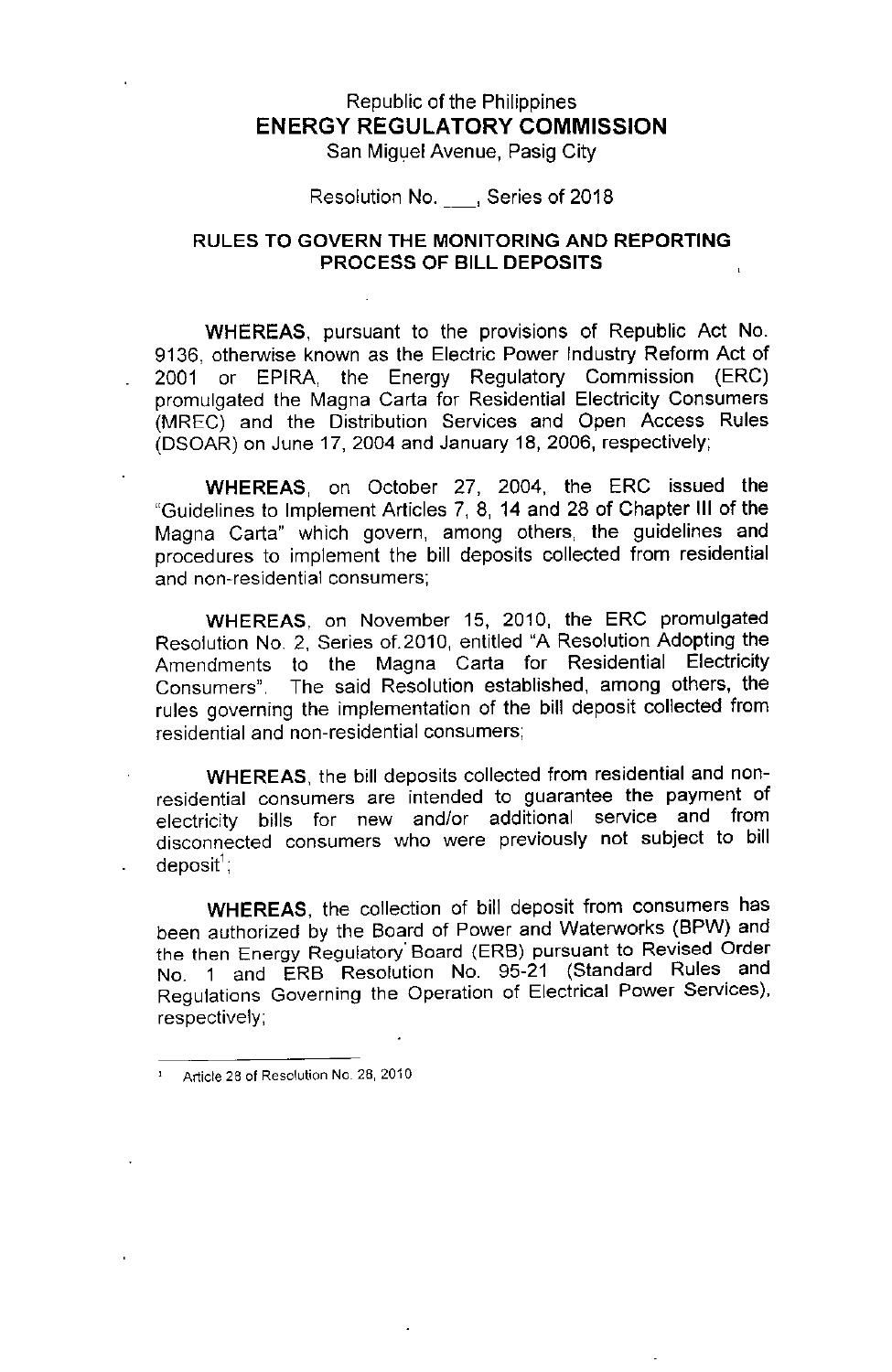# Republic of the Philippines **ENERGY REGULATORY COMMISSION**

San Miguel Avenue, Pasig City

Resolution No. , Series of 2018

## RULES TO GOVERN THE MONITORING AND REPORTING PROCESS OF BILL DEPOSITS

WHEREAS, pursuant to the provisions of Republic Act No. 9136, otherwise known as the Electric Power Industry Reform Act of 2001 or EPIRA, the Energy Regulatory Commission (ERC) promulgated the Magna Carta for Residential Electricity Consumers (MREC) and the Distribution Services and Open Access Rules (DSOAR) on June 17, 2004 and January 18, 2006, respectively;

WHEREAS, on October 27, 2004, the ERC issued the "Guidelines to Implement Articles 7, 8, 14 and 28 of Chapter III of the Magna Carta" which govern, among others, the guidelines and procedures to implement the bill deposits collected from residential **and non-residential consumers;**

WHEREAS, on November 15, 2010, the ERC promulgated Resolution NO.2, Series of. 2010, entitled "A Resolution Adopting the Amendments to the Magna Carta for Residential Electricity Consumers". The said Resolution established, among others, the rules governing the implementation of the bill deposit collected from residential and non-residential consumers;

WHEREAS, the bill deposits collected from residential and nonresidential consumers are intended to guarantee the payment of electricity bills for new and/or additional service and from disconnected consumers who were previously not subject to bill deposit';

WHEREAS, the collection of bill deposit from consumers has been authorized by the Board of Power and Waterworks (BPW) and the then Energy Regulatory' Board (ERB) pursuant to Revised Order No. 1 and ERB Resolution No. 95-21 (Standard Rules and Regulations Governing the Operation of Electrical Power Services), respectively;

<sup>1</sup> Article 28 **of** Resolution No. 28, 2010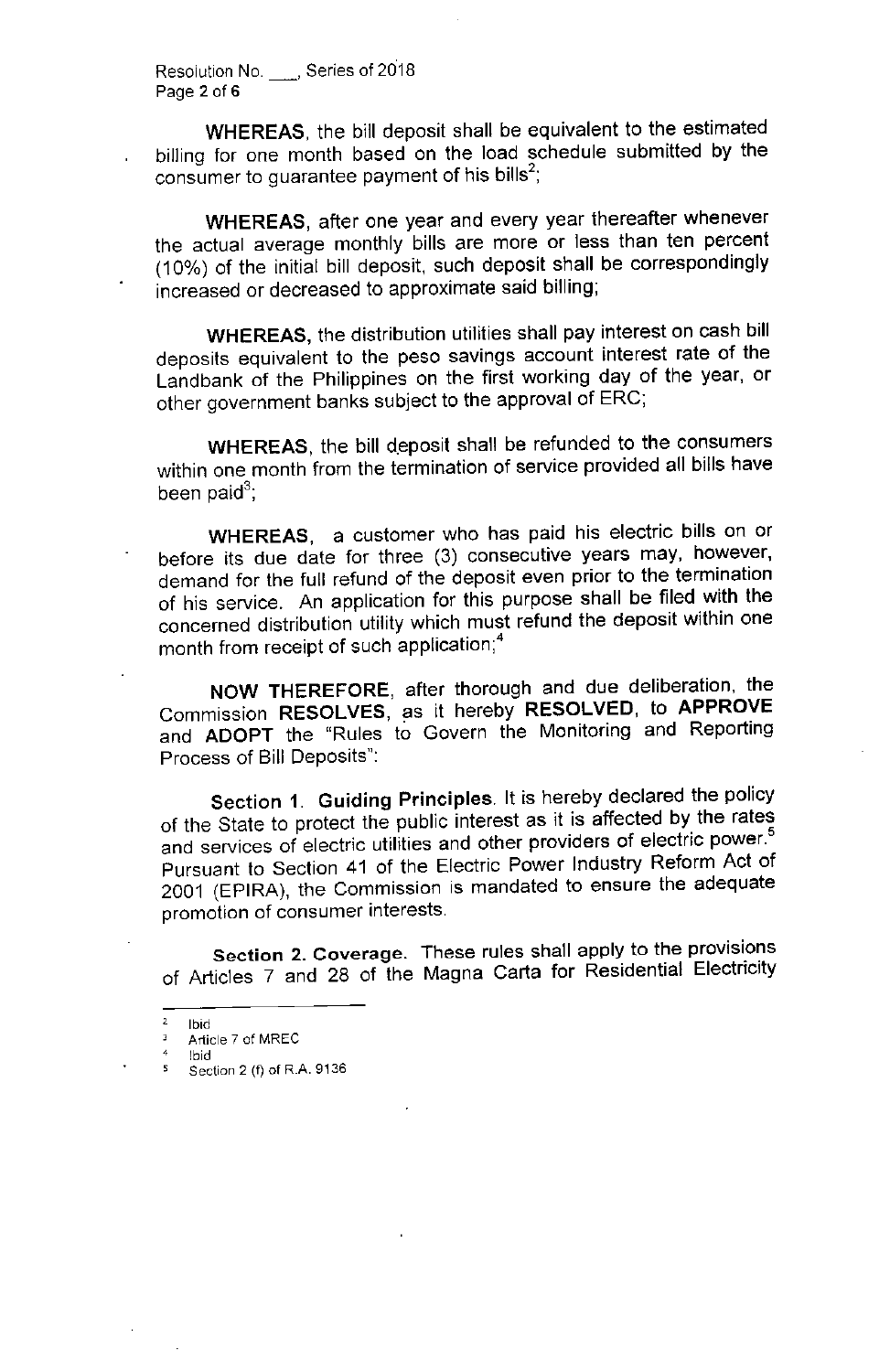Resolution No. 5 , Series of 2018 Page 2 of 6

WHEREAS, the bill deposit shall be equivalent to the estimated billing for one month based on the load schedule submitted by the consumer to guarantee payment of his bills<sup>2</sup>;

WHEREAS, after one year and every year thereafter whenever the actual average monthly bills are more or less than ten percent (10%) of the initial bill deposit, such deposit shall be correspondingly increased or decreased to approximate said billing;

WHEREAS, the distribution utilities shall pay interest on cash bill deposits equivalent to the peso savings account interest rate of the Landbank of the Philippines on the first working day of the year, or other government banks subject to the approval of ERC;

WHEREAS, the bill deposit shall be refunded to the consumers within one month from the termination of service provided all bills have been paid $^3$ ;

WHEREAS, a customer who has paid his electric bills on or before its due date for three (3) consecutive years may, however, demand for the full refund of the deposit even prior to the termination of his service. An application for this purpose shall be filed with the concerned distribution utility which must refund the deposit within one month from receipt of such application;4

NOW THEREFORE, after thorough and due deliberation, the Commission RESOLVES, as it hereby RESOLVED, to APPROVE and ADOPT the "Rules to Govern the Monitoring and Reporting Process of Bill Deposits":

Section 1. Guiding Principles. It is hereby declared the policy of the State to protect the public interest as it is affected by the rates and services of electric utilities and other providers of electric power.<sup>5</sup> Pursuant to Section 41 of the Electric Power Industry Reform Act of 2001 (EPIRA), the Commission is mandated to ensure the adequate **promotion of consumer interests.**

Section 2. Coverage. These rules shall apply to the provisions of Articles 7 and 28 of the Magna Carta for Residential Electricity

 $rac{2}{3}$  Ibid<br> $rac{2}{3}$  Artic

Article 7 of MREC

<sup>4</sup> Ibid Section 2 (f) of R.A. 9136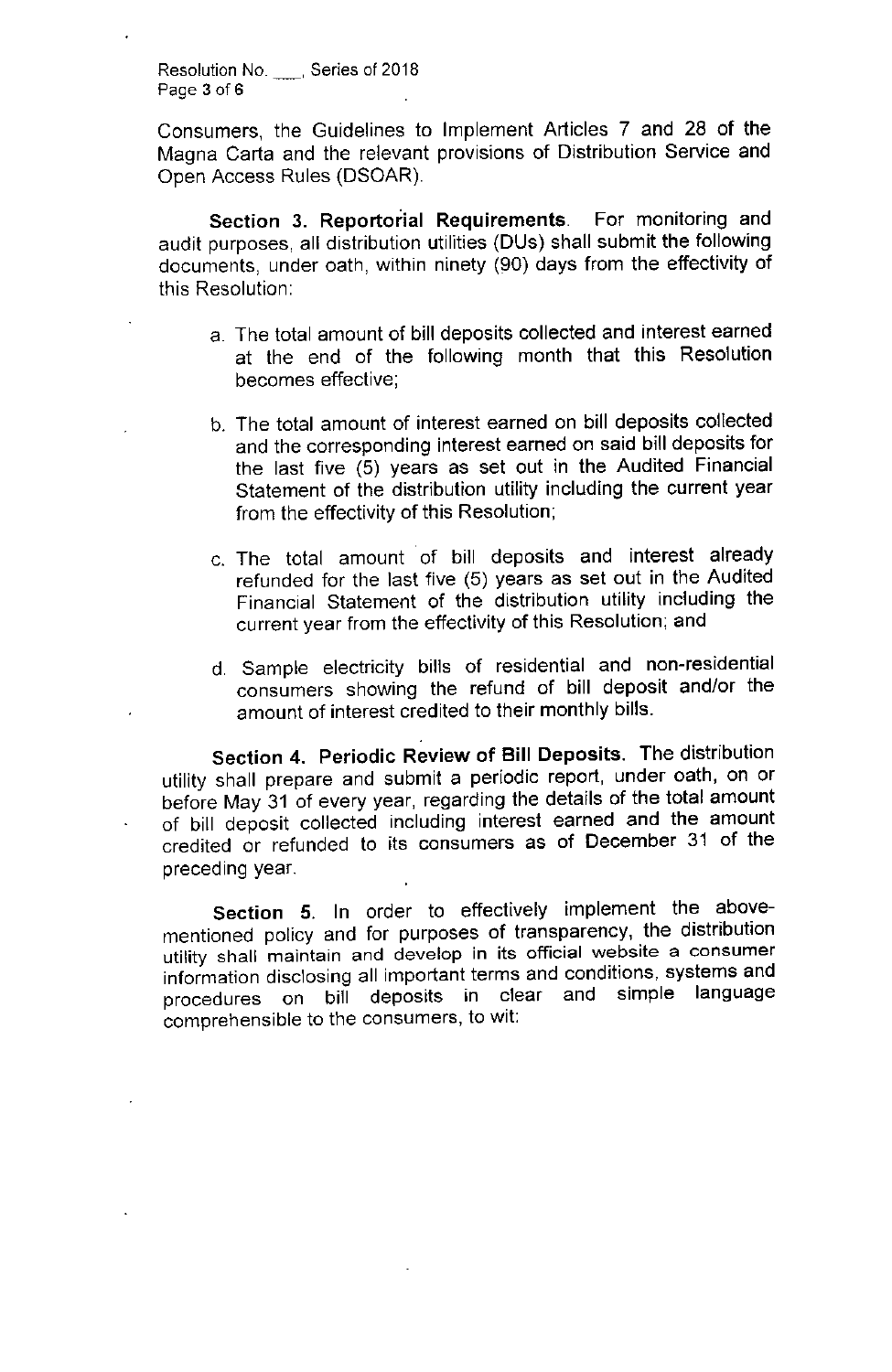**Resolution No.** , Series of 2018 Page 3 of 6

Consumers, the Guidelines to Implement Articles 7 and 28 of the Magna Carta and the relevant provisions of Distribution Service and Open Access Rules (DSOAR)

Section 3. Reportorial Requirements. For monitoring and audit purposes, all distribution utilities (DUs) shall submit the following documents, under oath, within ninety (90) days from the effectivity of this Resolution:

- a. The total amount of bill deposits collected and interest earned at the end of the following month that this Resolution becomes effective;
- b. The total amount of interest earned on bill deposits collected and the corresponding interest earned on said bill deposits for the last five (5) years as set out in the Audited Financial Statement of the distribution utility including the current year from the effectivity of this Resolution;
- c. The total arnount of bill deposits and interest already refunded for the last five (5) years as set out in the Audited Financial Statement of the distribution utility including the current year from the effectivity of this Resolution; and
- d. Sample electricity bills of residential and non-residential consumers showing the refund of bill deposit and/or the amount of interest credited to their monthly bills.

Section 4. Periodic Review of **Bill** Deposits. The distribution utility shall prepare and submit a periodic report, under oath, on or before May 31 of every year, regarding the details of the total amount of bill deposit collected including interest earned and the amount credited or refunded to its consumers as of December 31 of the preceding year.

Section 5. In order to effectively implement the abovementioned policy and for purposes of transparency, the distribution **utility shall maintain and develop in its official website a consumer** information disclosing all important terms and conditions, systems and procedures on bill deposits in clear and simple language comprehensible to the consumers, to wit: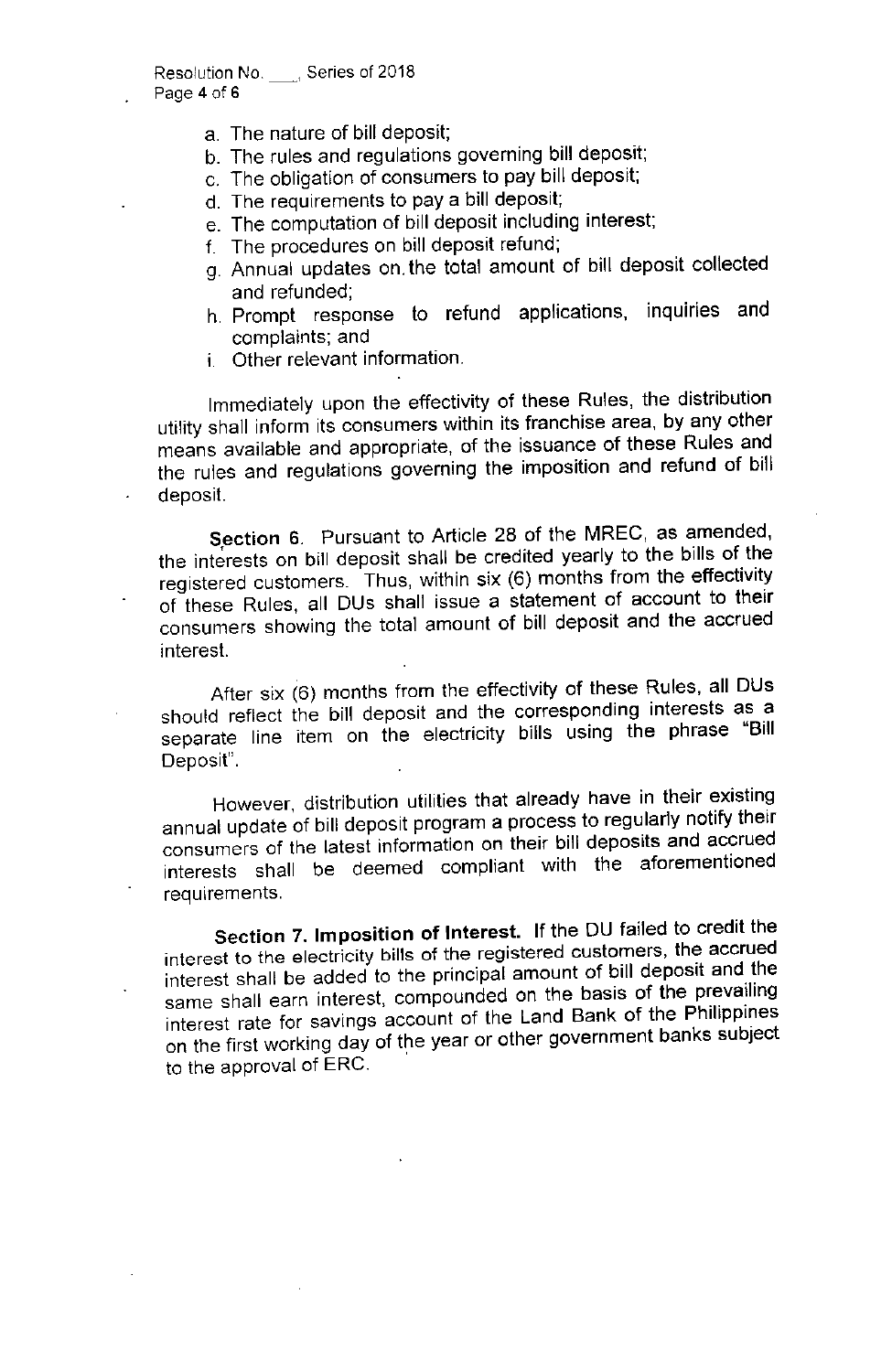- a. The nature of bill deposit;
- b. The rules and regulations governing bill deposit;
- c. The obligation of consumers to pay bill deposit;
- d. The requirements to pay a bill deposit;
- e. The computation of bill deposit including interest;
- f. The procedures on bill deposit refund;
- g. Annual updates on. the total amount of bill deposit collected and refunded;
- h. Prompt response to refund applications, inquiries and complaints; and
- i. Other relevant information.

Immediately upon the effectivity of these Rules, the distribution utility shall inform its consumers within its franchise area, by any other means available and appropriate, of the issuance of these Rules and the rules and regulations governing the imposition and refund of bill deposit.

Section 6. Pursuant to Article 28 of the MREC, as amended, the interests on bill deposit shall be credited yearly to the bills of the registered customers. Thus, within six (6) months from the effectivity of these Rules, all DUs shall issue a statement of account to their consumers showing the total amount of bill deposit and the accrued interest.

After six (6) months from the effectivity of these Rules, all DUs should reflect the bill deposit and the corresponding interests as a separate line item on the electricity bills using the phrase "Bill Deposit".

However, distribution utilities that already have in their existing annual update of bill deposit program a process to regularly notify their consumers of the latest information on their bill deposits and accrued interests shall be deemed compliant with the aforementioned requirements.

Section 7. Imposition of Interest. If the DU failed to credit the interest to the electricity bills of the registered customers, the accrued interest shall be added to the principal amount of bill deposit and the same shall earn interest, compounded on the basis of the prevailing interest rate for savings account of the Land Bank of the Philippines on the first working day of the year or other government banks subject to the approval of ERC. .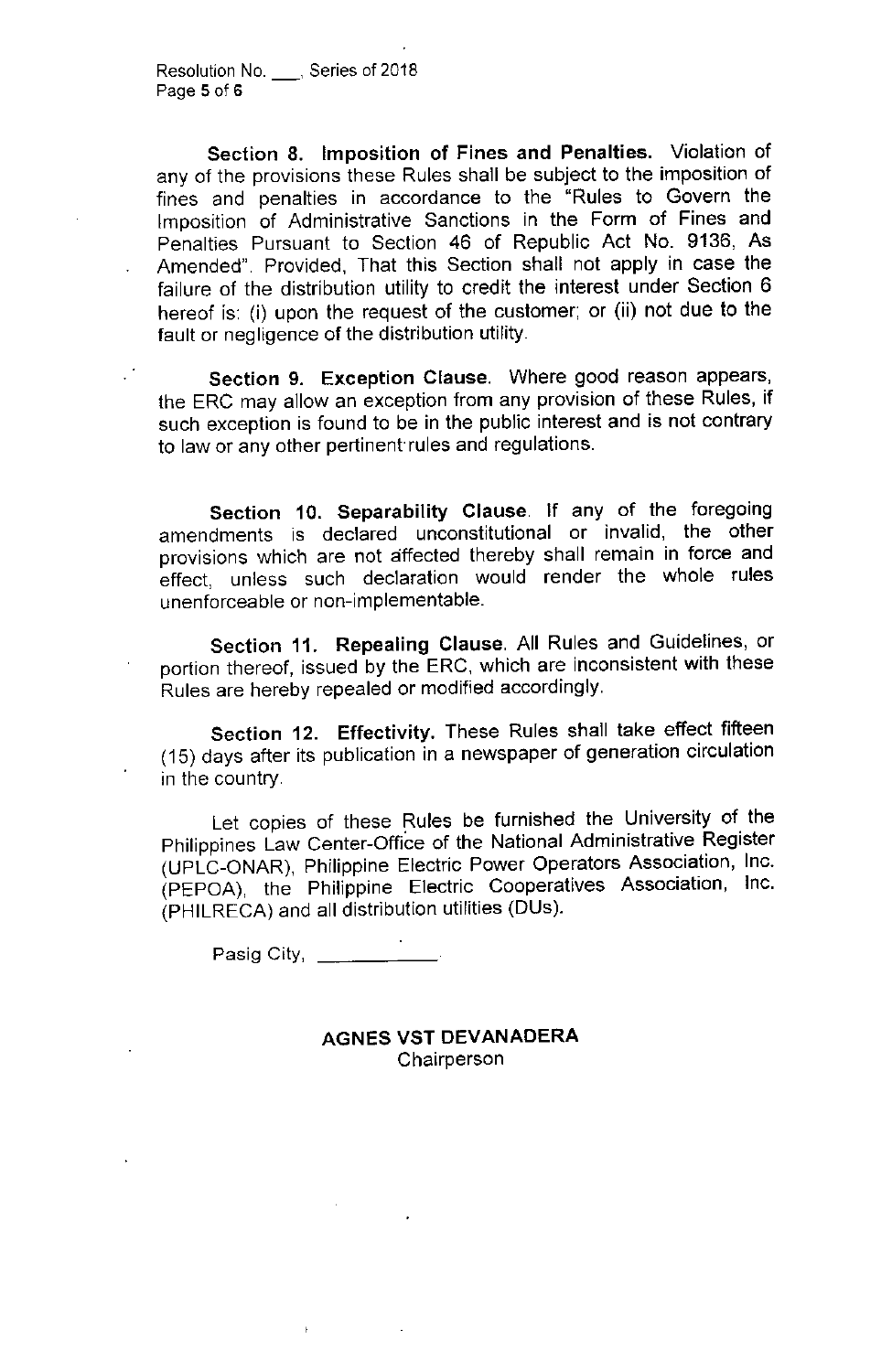Section 8. Imposition of Fines and Penalties. Violation of any of the provisions these Rules shall be subject to the imposition of fines and penalties in accordance to the "Rules to Govern the Imposition of Administrative Sanctions in the Form of Fines and Penalties Pursuant to Section 46 of Republic Act No. 9136, As Amended". Provided, That this Section shall not apply in case the failure of the distribution utility to credit the interest under Section 6 hereof is: (i) upon the request of the customer; or (ii) not due to the fault or negligence of the distribution utility.

Section 9. Exception Clause. Where good reason appears, the ERC may allow an exception from any provision of these Rules, if such exception is found to be in the public interest and is not contrary to law or any other pertinent rules and regulations.

Section 10. Separability Clause. If any of the foregoing amendments is declared unconstitutional or invalid, the other provisions which are not affected thereby shall remain in force and effect, unless such declaration would render the whole rules unenforceable or non-implementable.

Section 11. Repealing Clause. All Rules and Guidelines, or portion thereof, issued by the ERC, which are inconsistent with these Rules are hereby repealed or modified accordingly.

Section 12. Effectivity. These Rules shall take effect fifteen (15) days after its publication in a newspaper of generation circulation in the country.

Let copies of these Rules be furnished the University of the Philippines Law Center-Office of the National Administrative Register (UPLC-ONAR), Philippine Electric Power Operators Association, Inc. (PEPOA), the Philippine Electric Cooperatives Association, Inc. (PHILRECA) and all distribution utilities (DUs).

**Pasig** City, \_

AGNES VST DEVANADERA Chairperson